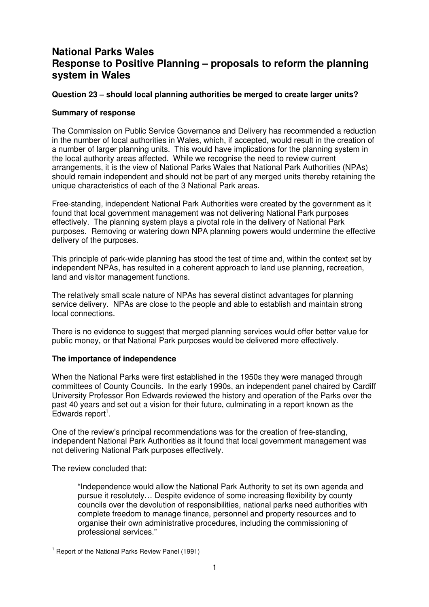# **National Parks Wales Response to Positive Planning – proposals to reform the planning system in Wales**

# **Question 23 – should local planning authorities be merged to create larger units?**

# **Summary of response**

The Commission on Public Service Governance and Delivery has recommended a reduction in the number of local authorities in Wales, which, if accepted, would result in the creation of a number of larger planning units. This would have implications for the planning system in the local authority areas affected. While we recognise the need to review current arrangements, it is the view of National Parks Wales that National Park Authorities (NPAs) should remain independent and should not be part of any merged units thereby retaining the unique characteristics of each of the 3 National Park areas.

Free-standing, independent National Park Authorities were created by the government as it found that local government management was not delivering National Park purposes effectively. The planning system plays a pivotal role in the delivery of National Park purposes. Removing or watering down NPA planning powers would undermine the effective delivery of the purposes.

This principle of park-wide planning has stood the test of time and, within the context set by independent NPAs, has resulted in a coherent approach to land use planning, recreation, land and visitor management functions.

The relatively small scale nature of NPAs has several distinct advantages for planning service delivery. NPAs are close to the people and able to establish and maintain strong local connections.

There is no evidence to suggest that merged planning services would offer better value for public money, or that National Park purposes would be delivered more effectively.

## **The importance of independence**

When the National Parks were first established in the 1950s they were managed through committees of County Councils. In the early 1990s, an independent panel chaired by Cardiff University Professor Ron Edwards reviewed the history and operation of the Parks over the past 40 years and set out a vision for their future, culminating in a report known as the  $E$ dwards report<sup>1</sup>.

One of the review's principal recommendations was for the creation of free-standing, independent National Park Authorities as it found that local government management was not delivering National Park purposes effectively.

The review concluded that:

"Independence would allow the National Park Authority to set its own agenda and pursue it resolutely… Despite evidence of some increasing flexibility by county councils over the devolution of responsibilities, national parks need authorities with complete freedom to manage finance, personnel and property resources and to organise their own administrative procedures, including the commissioning of professional services."

**EXECUTE:**<br><sup>1</sup> Report of the National Parks Review Panel (1991)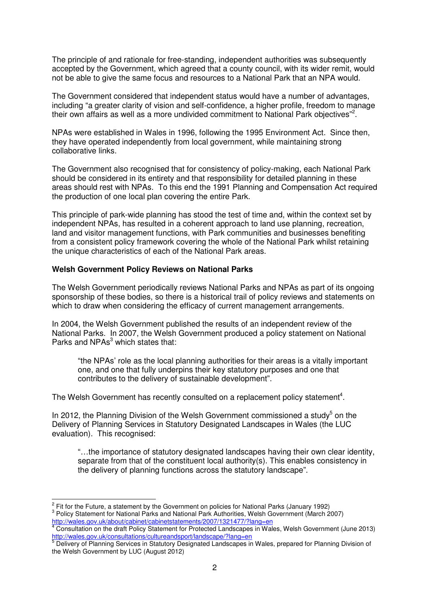The principle of and rationale for free-standing, independent authorities was subsequently accepted by the Government, which agreed that a county council, with its wider remit, would not be able to give the same focus and resources to a National Park that an NPA would.

The Government considered that independent status would have a number of advantages, including "a greater clarity of vision and self-confidence, a higher profile, freedom to manage their own affairs as well as a more undivided commitment to National Park objectives"<sup>2</sup>.

NPAs were established in Wales in 1996, following the 1995 Environment Act. Since then, they have operated independently from local government, while maintaining strong collaborative links.

The Government also recognised that for consistency of policy-making, each National Park should be considered in its entirety and that responsibility for detailed planning in these areas should rest with NPAs. To this end the 1991 Planning and Compensation Act required the production of one local plan covering the entire Park.

This principle of park-wide planning has stood the test of time and, within the context set by independent NPAs, has resulted in a coherent approach to land use planning, recreation, land and visitor management functions, with Park communities and businesses benefiting from a consistent policy framework covering the whole of the National Park whilst retaining the unique characteristics of each of the National Park areas.

#### **Welsh Government Policy Reviews on National Parks**

The Welsh Government periodically reviews National Parks and NPAs as part of its ongoing sponsorship of these bodies, so there is a historical trail of policy reviews and statements on which to draw when considering the efficacy of current management arrangements.

In 2004, the Welsh Government published the results of an independent review of the National Parks. In 2007, the Welsh Government produced a policy statement on National Parks and NPAs<sup>3</sup> which states that:

"the NPAs' role as the local planning authorities for their areas is a vitally important one, and one that fully underpins their key statutory purposes and one that contributes to the delivery of sustainable development".

The Welsh Government has recently consulted on a replacement policy statement<sup>4</sup>.

In 2012, the Planning Division of the Welsh Government commissioned a study<sup>5</sup> on the Delivery of Planning Services in Statutory Designated Landscapes in Wales (the LUC evaluation). This recognised:

"…the importance of statutory designated landscapes having their own clear identity, separate from that of the constituent local authority(s). This enables consistency in the delivery of planning functions across the statutory landscape".

 $\frac{2}{3}$  Fit for the Future, a statement by the Government on policies for National Parks (January 1992)

<sup>&</sup>lt;sup>3</sup> Policy Statement for National Parks and National Park Authorities, Welsh Government (March 2007) <u>http://wales.gov.uk/about/cabinet/cabinetstatements/2007/1321477/?lang=en</u><br><sup>4</sup> Consultation on the draft Policy Statement for Protected Landscapes in Wales, Welsh Government (June 2013)

<sup>&</sup>lt;u>http://wales.gov.uk/consultations/cultureandsport/landscape/?lang=en</u><br><sup>5</sup> Delivery of Planning Services in Statutory Designated Landscapes in Wales, prepared for Planning Division of

the Welsh Government by LUC (August 2012)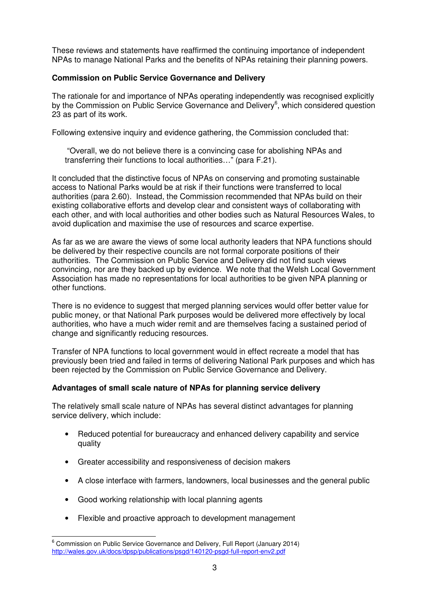These reviews and statements have reaffirmed the continuing importance of independent NPAs to manage National Parks and the benefits of NPAs retaining their planning powers.

# **Commission on Public Service Governance and Delivery**

The rationale for and importance of NPAs operating independently was recognised explicitly by the Commission on Public Service Governance and Delivery<sup>6</sup>, which considered question 23 as part of its work.

Following extensive inquiry and evidence gathering, the Commission concluded that:

 "Overall, we do not believe there is a convincing case for abolishing NPAs and transferring their functions to local authorities…" (para F.21).

It concluded that the distinctive focus of NPAs on conserving and promoting sustainable access to National Parks would be at risk if their functions were transferred to local authorities (para 2.60). Instead, the Commission recommended that NPAs build on their existing collaborative efforts and develop clear and consistent ways of collaborating with each other, and with local authorities and other bodies such as Natural Resources Wales, to avoid duplication and maximise the use of resources and scarce expertise.

As far as we are aware the views of some local authority leaders that NPA functions should be delivered by their respective councils are not formal corporate positions of their authorities. The Commission on Public Service and Delivery did not find such views convincing, nor are they backed up by evidence. We note that the Welsh Local Government Association has made no representations for local authorities to be given NPA planning or other functions.

There is no evidence to suggest that merged planning services would offer better value for public money, or that National Park purposes would be delivered more effectively by local authorities, who have a much wider remit and are themselves facing a sustained period of change and significantly reducing resources.

Transfer of NPA functions to local government would in effect recreate a model that has previously been tried and failed in terms of delivering National Park purposes and which has been rejected by the Commission on Public Service Governance and Delivery.

## **Advantages of small scale nature of NPAs for planning service delivery**

The relatively small scale nature of NPAs has several distinct advantages for planning service delivery, which include:

- Reduced potential for bureaucracy and enhanced delivery capability and service quality
- Greater accessibility and responsiveness of decision makers
- A close interface with farmers, landowners, local businesses and the general public
- Good working relationship with local planning agents
- Flexible and proactive approach to development management

endies of the Commission on Public Service Governance and Delivery, Full Report (January 2014) http://wales.gov.uk/docs/dpsp/publications/psgd/140120-psgd-full-report-env2.pdf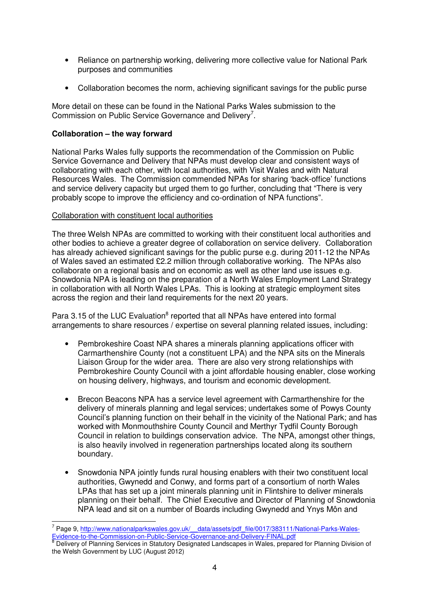- Reliance on partnership working, delivering more collective value for National Park purposes and communities
- Collaboration becomes the norm, achieving significant savings for the public purse

More detail on these can be found in the National Parks Wales submission to the Commission on Public Service Governance and Delivery<sup>7</sup>.

# **Collaboration – the way forward**

National Parks Wales fully supports the recommendation of the Commission on Public Service Governance and Delivery that NPAs must develop clear and consistent ways of collaborating with each other, with local authorities, with Visit Wales and with Natural Resources Wales. The Commission commended NPAs for sharing 'back-office' functions and service delivery capacity but urged them to go further, concluding that "There is very probably scope to improve the efficiency and co-ordination of NPA functions".

#### Collaboration with constituent local authorities

The three Welsh NPAs are committed to working with their constituent local authorities and other bodies to achieve a greater degree of collaboration on service delivery. Collaboration has already achieved significant savings for the public purse e.g. during 2011-12 the NPAs of Wales saved an estimated £2.2 million through collaborative working. The NPAs also collaborate on a regional basis and on economic as well as other land use issues e.g. Snowdonia NPA is leading on the preparation of a North Wales Employment Land Strategy in collaboration with all North Wales LPAs. This is looking at strategic employment sites across the region and their land requirements for the next 20 years.

Para 3.15 of the LUC Evaluation<sup>8</sup> reported that all NPAs have entered into formal arrangements to share resources / expertise on several planning related issues, including:

- Pembrokeshire Coast NPA shares a minerals planning applications officer with Carmarthenshire County (not a constituent LPA) and the NPA sits on the Minerals Liaison Group for the wider area. There are also very strong relationships with Pembrokeshire County Council with a joint affordable housing enabler, close working on housing delivery, highways, and tourism and economic development.
- Brecon Beacons NPA has a service level agreement with Carmarthenshire for the delivery of minerals planning and legal services; undertakes some of Powys County Council's planning function on their behalf in the vicinity of the National Park; and has worked with Monmouthshire County Council and Merthyr Tydfil County Borough Council in relation to buildings conservation advice. The NPA, amongst other things, is also heavily involved in regeneration partnerships located along its southern boundary.
- Snowdonia NPA jointly funds rural housing enablers with their two constituent local authorities, Gwynedd and Conwy, and forms part of a consortium of north Wales LPAs that has set up a joint minerals planning unit in Flintshire to deliver minerals planning on their behalf. The Chief Executive and Director of Planning of Snowdonia NPA lead and sit on a number of Boards including Gwynedd and Ynys Môn and

 7 Page 9, http://www.nationalparkswales.gov.uk/\_\_data/assets/pdf\_file/0017/383111/National-Parks-Wales-Evidence-to-the-Commission-on-Public-Service-Governance-and-Delivery-FINAL.pdf 8

Delivery of Planning Services in Statutory Designated Landscapes in Wales, prepared for Planning Division of the Welsh Government by LUC (August 2012)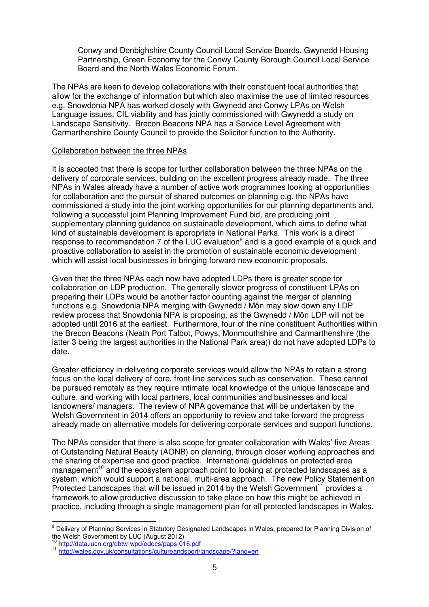Conwy and Denbighshire County Council Local Service Boards, Gwynedd Housing Partnership, Green Economy for the Conwy County Borough Council Local Service Board and the North Wales Economic Forum.

The NPAs are keen to develop collaborations with their constituent local authorities that allow for the exchange of information but which also maximise the use of limited resources e.g. Snowdonia NPA has worked closely with Gwynedd and Conwy LPAs on Welsh Language issues, CIL viability and has jointly commissioned with Gwynedd a study on Landscape Sensitivity. Brecon Beacons NPA has a Service Level Agreement with Carmarthenshire County Council to provide the Solicitor function to the Authority.

#### Collaboration between the three NPAs

It is accepted that there is scope for further collaboration between the three NPAs on the delivery of corporate services, building on the excellent progress already made. The three NPAs in Wales already have a number of active work programmes looking at opportunities for collaboration and the pursuit of shared outcomes on planning e.g. the NPAs have commissioned a study into the joint working opportunities for our planning departments and, following a successful joint Planning Improvement Fund bid, are producing joint supplementary planning guidance on sustainable development, which aims to define what kind of sustainable development is appropriate in National Parks. This work is a direct response to recommendation 7 of the LUC evaluation<sup>9</sup> and is a good example of a quick and proactive collaboration to assist in the promotion of sustainable economic development which will assist local businesses in bringing forward new economic proposals.

Given that the three NPAs each now have adopted LDPs there is greater scope for collaboration on LDP production. The generally slower progress of constituent LPAs on preparing their LDPs would be another factor counting against the merger of planning functions e.g. Snowdonia NPA merging with Gwynedd / Môn may slow down any LDP review process that Snowdonia NPA is proposing, as the Gwynedd / Môn LDP will not be adopted until 2016 at the earliest. Furthermore, four of the nine constituent Authorities within the Brecon Beacons (Neath Port Talbot, Powys, Monmouthshire and Carmarthenshire (the latter 3 being the largest authorities in the National Park area)) do not have adopted LDPs to date.

Greater efficiency in delivering corporate services would allow the NPAs to retain a strong focus on the local delivery of core, front-line services such as conservation. These cannot be pursued remotely as they require intimate local knowledge of the unique landscape and culture, and working with local partners, local communities and businesses and local landowners/ managers. The review of NPA governance that will be undertaken by the Welsh Government in 2014 offers an opportunity to review and take forward the progress already made on alternative models for delivering corporate services and support functions.

The NPAs consider that there is also scope for greater collaboration with Wales' five Areas of Outstanding Natural Beauty (AONB) on planning, through closer working approaches and the sharing of expertise and good practice. International guidelines on protected area management<sup>10</sup> and the ecosystem approach point to looking at protected landscapes as a system, which would support a national, multi-area approach. The new Policy Statement on Protected Landscapes that will be issued in 2014 by the Welsh Government<sup>11</sup> provides a framework to allow productive discussion to take place on how this might be achieved in practice, including through a single management plan for all protected landscapes in Wales.

 9 Delivery of Planning Services in Statutory Designated Landscapes in Wales, prepared for Planning Division of the Welsh Government by LUC (August 2012)

http://data.iucn.org/dbtw-wpd/edocs/paps-016.pdf

<sup>11</sup> http://wales.gov.uk/consultations/cultureandsport/landscape/?lang=en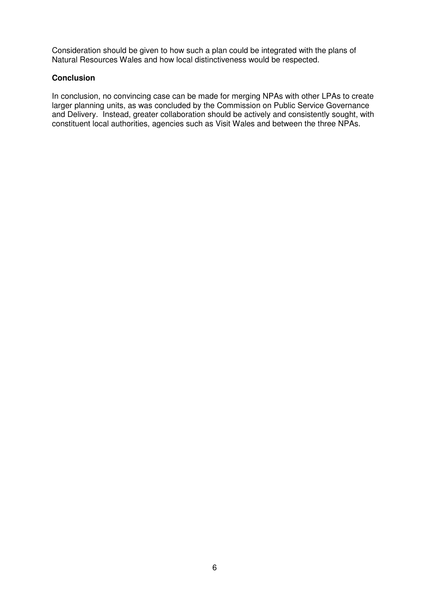Consideration should be given to how such a plan could be integrated with the plans of Natural Resources Wales and how local distinctiveness would be respected.

#### **Conclusion**

In conclusion, no convincing case can be made for merging NPAs with other LPAs to create larger planning units, as was concluded by the Commission on Public Service Governance and Delivery. Instead, greater collaboration should be actively and consistently sought, with constituent local authorities, agencies such as Visit Wales and between the three NPAs.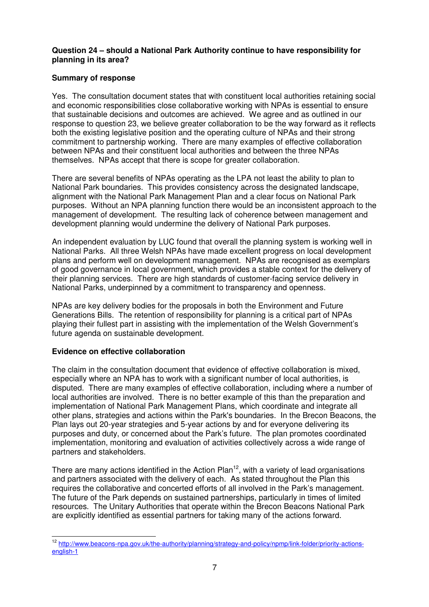## **Question 24 – should a National Park Authority continue to have responsibility for planning in its area?**

# **Summary of response**

Yes. The consultation document states that with constituent local authorities retaining social and economic responsibilities close collaborative working with NPAs is essential to ensure that sustainable decisions and outcomes are achieved. We agree and as outlined in our response to question 23, we believe greater collaboration to be the way forward as it reflects both the existing legislative position and the operating culture of NPAs and their strong commitment to partnership working. There are many examples of effective collaboration between NPAs and their constituent local authorities and between the three NPAs themselves. NPAs accept that there is scope for greater collaboration.

There are several benefits of NPAs operating as the LPA not least the ability to plan to National Park boundaries. This provides consistency across the designated landscape, alignment with the National Park Management Plan and a clear focus on National Park purposes. Without an NPA planning function there would be an inconsistent approach to the management of development. The resulting lack of coherence between management and development planning would undermine the delivery of National Park purposes.

An independent evaluation by LUC found that overall the planning system is working well in National Parks. All three Welsh NPAs have made excellent progress on local development plans and perform well on development management. NPAs are recognised as exemplars of good governance in local government, which provides a stable context for the delivery of their planning services. There are high standards of customer-facing service delivery in National Parks, underpinned by a commitment to transparency and openness.

NPAs are key delivery bodies for the proposals in both the Environment and Future Generations Bills. The retention of responsibility for planning is a critical part of NPAs playing their fullest part in assisting with the implementation of the Welsh Government's future agenda on sustainable development.

## **Evidence on effective collaboration**

The claim in the consultation document that evidence of effective collaboration is mixed, especially where an NPA has to work with a significant number of local authorities, is disputed. There are many examples of effective collaboration, including where a number of local authorities are involved. There is no better example of this than the preparation and implementation of National Park Management Plans, which coordinate and integrate all other plans, strategies and actions within the Park's boundaries. In the Brecon Beacons, the Plan lays out 20-year strategies and 5-year actions by and for everyone delivering its purposes and duty, or concerned about the Park's future. The plan promotes coordinated implementation, monitoring and evaluation of activities collectively across a wide range of partners and stakeholders.

There are many actions identified in the Action Plan<sup>12</sup>, with a variety of lead organisations and partners associated with the delivery of each. As stated throughout the Plan this requires the collaborative and concerted efforts of all involved in the Park's management. The future of the Park depends on sustained partnerships, particularly in times of limited resources. The Unitary Authorities that operate within the Brecon Beacons National Park are explicitly identified as essential partners for taking many of the actions forward.

 $\overline{a}$ <sup>12</sup> http://www.beacons-npa.gov.uk/the-authority/planning/strategy-and-policy/npmp/link-folder/priority-actionsenglish-1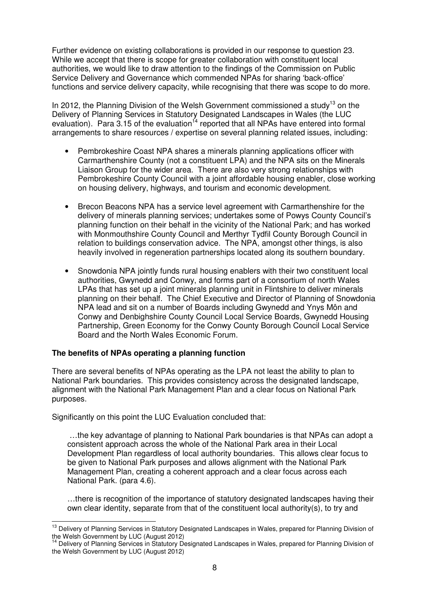Further evidence on existing collaborations is provided in our response to question 23. While we accept that there is scope for greater collaboration with constituent local authorities, we would like to draw attention to the findings of the Commission on Public Service Delivery and Governance which commended NPAs for sharing 'back-office' functions and service delivery capacity, while recognising that there was scope to do more.

In 2012, the Planning Division of the Welsh Government commissioned a study<sup>13</sup> on the Delivery of Planning Services in Statutory Designated Landscapes in Wales (the LUC evaluation). Para  $3.15$  of the evaluation<sup>14</sup> reported that all NPAs have entered into formal arrangements to share resources / expertise on several planning related issues, including:

- Pembrokeshire Coast NPA shares a minerals planning applications officer with Carmarthenshire County (not a constituent LPA) and the NPA sits on the Minerals Liaison Group for the wider area. There are also very strong relationships with Pembrokeshire County Council with a joint affordable housing enabler, close working on housing delivery, highways, and tourism and economic development.
- Brecon Beacons NPA has a service level agreement with Carmarthenshire for the delivery of minerals planning services; undertakes some of Powys County Council's planning function on their behalf in the vicinity of the National Park; and has worked with Monmouthshire County Council and Merthyr Tydfil County Borough Council in relation to buildings conservation advice. The NPA, amongst other things, is also heavily involved in regeneration partnerships located along its southern boundary.
- Snowdonia NPA jointly funds rural housing enablers with their two constituent local authorities, Gwynedd and Conwy, and forms part of a consortium of north Wales LPAs that has set up a joint minerals planning unit in Flintshire to deliver minerals planning on their behalf. The Chief Executive and Director of Planning of Snowdonia NPA lead and sit on a number of Boards including Gwynedd and Ynys Môn and Conwy and Denbighshire County Council Local Service Boards, Gwynedd Housing Partnership, Green Economy for the Conwy County Borough Council Local Service Board and the North Wales Economic Forum.

## **The benefits of NPAs operating a planning function**

There are several benefits of NPAs operating as the LPA not least the ability to plan to National Park boundaries. This provides consistency across the designated landscape, alignment with the National Park Management Plan and a clear focus on National Park purposes.

Significantly on this point the LUC Evaluation concluded that:

 …the key advantage of planning to National Park boundaries is that NPAs can adopt a consistent approach across the whole of the National Park area in their Local Development Plan regardless of local authority boundaries. This allows clear focus to be given to National Park purposes and allows alignment with the National Park Management Plan, creating a coherent approach and a clear focus across each National Park. (para 4.6).

…there is recognition of the importance of statutory designated landscapes having their own clear identity, separate from that of the constituent local authority(s), to try and

 $\overline{a}$ <sup>13</sup> Delivery of Planning Services in Statutory Designated Landscapes in Wales, prepared for Planning Division of the Welsh Government by LUC (August 2012)

Delivery of Planning Services in Statutory Designated Landscapes in Wales, prepared for Planning Division of the Welsh Government by LUC (August 2012)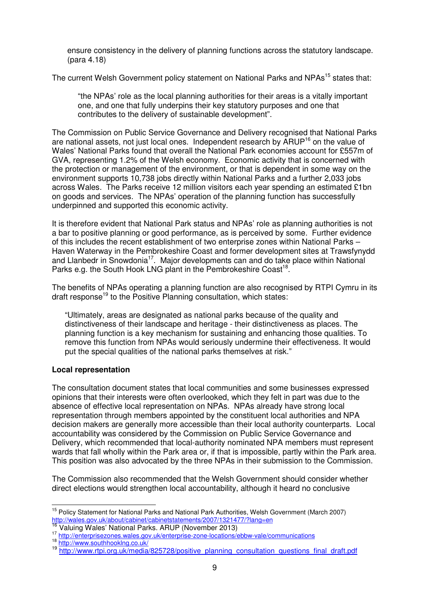ensure consistency in the delivery of planning functions across the statutory landscape. (para 4.18)

The current Welsh Government policy statement on National Parks and NPAs<sup>15</sup> states that:

"the NPAs' role as the local planning authorities for their areas is a vitally important one, and one that fully underpins their key statutory purposes and one that contributes to the delivery of sustainable development".

The Commission on Public Service Governance and Delivery recognised that National Parks are national assets, not just local ones. Independent research by  $\text{ARUP}^{16}$  on the value of Wales' National Parks found that overall the National Park economies account for £557m of GVA, representing 1.2% of the Welsh economy. Economic activity that is concerned with the protection or management of the environment, or that is dependent in some way on the environment supports 10,738 jobs directly within National Parks and a further 2,033 jobs across Wales. The Parks receive 12 million visitors each year spending an estimated £1bn on goods and services. The NPAs' operation of the planning function has successfully underpinned and supported this economic activity.

It is therefore evident that National Park status and NPAs' role as planning authorities is not a bar to positive planning or good performance, as is perceived by some. Further evidence of this includes the recent establishment of two enterprise zones within National Parks – Haven Waterway in the Pembrokeshire Coast and former development sites at Trawsfynydd and Llanbedr in Snowdonia<sup>17</sup>. Major developments can and do take place within National Parks e.g. the South Hook LNG plant in the Pembrokeshire Coast<sup>18</sup>.

The benefits of NPAs operating a planning function are also recognised by RTPI Cymru in its draft response<sup>19</sup> to the Positive Planning consultation, which states:

"Ultimately, areas are designated as national parks because of the quality and distinctiveness of their landscape and heritage - their distinctiveness as places. The planning function is a key mechanism for sustaining and enhancing those qualities. To remove this function from NPAs would seriously undermine their effectiveness. It would put the special qualities of the national parks themselves at risk."

# **Local representation**

The consultation document states that local communities and some businesses expressed opinions that their interests were often overlooked, which they felt in part was due to the absence of effective local representation on NPAs. NPAs already have strong local representation through members appointed by the constituent local authorities and NPA decision makers are generally more accessible than their local authority counterparts. Local accountability was considered by the Commission on Public Service Governance and Delivery, which recommended that local-authority nominated NPA members must represent wards that fall wholly within the Park area or, if that is impossible, partly within the Park area. This position was also advocated by the three NPAs in their submission to the Commission.

The Commission also recommended that the Welsh Government should consider whether direct elections would strengthen local accountability, although it heard no conclusive

 $\overline{a}$ <sup>15</sup> Policy Statement for National Parks and National Park Authorities, Welsh Government (March 2007) http://wales.gov.uk/about/cabinet/cabinetstatements/2007/1321477/?lang=en

<sup>16</sup> Valuing Wales' National Parks. ARUP (November 2013)

<sup>17</sup> http://enterprisezones.wales.gov.uk/enterprise-zone-locations/ebbw-vale/communications

<sup>18</sup> http://www.southhooking.co.uk/

<sup>&</sup>lt;sup>19</sup> http://www.rtpi.org.uk/media/825728/positive\_planning\_consultation\_questions\_final\_draft.pdf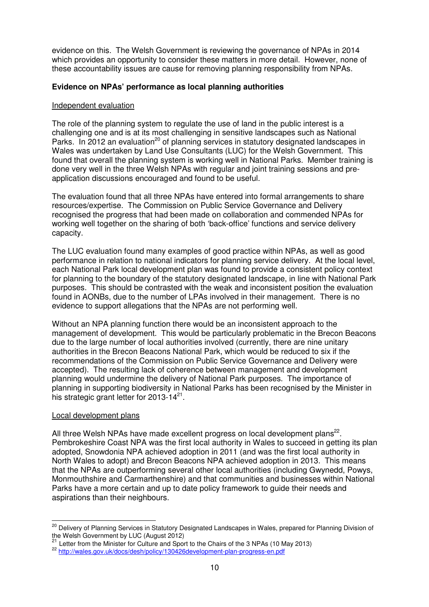evidence on this. The Welsh Government is reviewing the governance of NPAs in 2014 which provides an opportunity to consider these matters in more detail. However, none of these accountability issues are cause for removing planning responsibility from NPAs.

## **Evidence on NPAs' performance as local planning authorities**

#### Independent evaluation

The role of the planning system to regulate the use of land in the public interest is a challenging one and is at its most challenging in sensitive landscapes such as National Parks. In 2012 an evaluation<sup>20</sup> of planning services in statutory designated landscapes in Wales was undertaken by Land Use Consultants (LUC) for the Welsh Government. This found that overall the planning system is working well in National Parks. Member training is done very well in the three Welsh NPAs with regular and joint training sessions and preapplication discussions encouraged and found to be useful.

The evaluation found that all three NPAs have entered into formal arrangements to share resources/expertise. The Commission on Public Service Governance and Delivery recognised the progress that had been made on collaboration and commended NPAs for working well together on the sharing of both 'back-office' functions and service delivery capacity.

The LUC evaluation found many examples of good practice within NPAs, as well as good performance in relation to national indicators for planning service delivery. At the local level, each National Park local development plan was found to provide a consistent policy context for planning to the boundary of the statutory designated landscape, in line with National Park purposes. This should be contrasted with the weak and inconsistent position the evaluation found in AONBs, due to the number of LPAs involved in their management. There is no evidence to support allegations that the NPAs are not performing well.

Without an NPA planning function there would be an inconsistent approach to the management of development. This would be particularly problematic in the Brecon Beacons due to the large number of local authorities involved (currently, there are nine unitary authorities in the Brecon Beacons National Park, which would be reduced to six if the recommendations of the Commission on Public Service Governance and Delivery were accepted). The resulting lack of coherence between management and development planning would undermine the delivery of National Park purposes. The importance of planning in supporting biodiversity in National Parks has been recognised by the Minister in his strategic grant letter for 2013-14 $^{21}$ .

#### Local development plans

All three Welsh NPAs have made excellent progress on local development plans<sup>22</sup>. Pembrokeshire Coast NPA was the first local authority in Wales to succeed in getting its plan adopted, Snowdonia NPA achieved adoption in 2011 (and was the first local authority in North Wales to adopt) and Brecon Beacons NPA achieved adoption in 2013. This means that the NPAs are outperforming several other local authorities (including Gwynedd, Powys, Monmouthshire and Carmarthenshire) and that communities and businesses within National Parks have a more certain and up to date policy framework to guide their needs and aspirations than their neighbours.

 $\overline{a}$ <sup>20</sup> Delivery of Planning Services in Statutory Designated Landscapes in Wales, prepared for Planning Division of  $t_{\text{sc}}$  or Fighting Services in Statutory De<br>the Welsh Government by LUC (August 2012)

<sup>21</sup> Letter from the Minister for Culture and Sport to the Chairs of the 3 NPAs (10 May 2013)

<sup>22</sup> http://wales.gov.uk/docs/desh/policy/130426development-plan-progress-en.pdf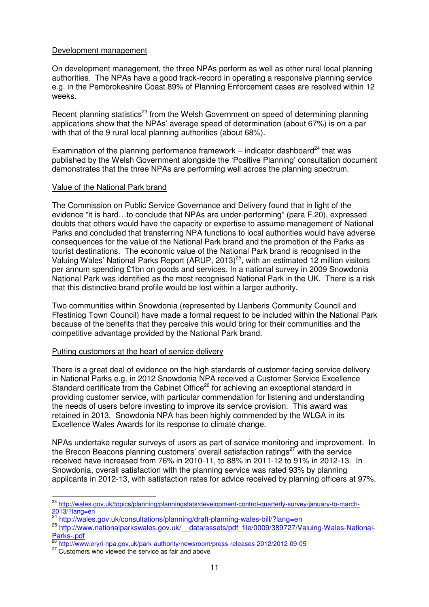#### Development management

On development management, the three NPAs perform as well as other rural local planning authorities. The NPAs have a good track-record in operating a responsive planning service e.g. in the Pembrokeshire Coast 89% of Planning Enforcement cases are resolved within 12 weeks.

Recent planning statistics<sup>23</sup> from the Welsh Government on speed of determining planning applications show that the NPAs' average speed of determination (about 67%) is on a par with that of the 9 rural local planning authorities (about 68%).

Examination of the planning performance framework – indicator dashboard<sup>24</sup> that was published by the Welsh Government alongside the 'Positive Planning' consultation document demonstrates that the three NPAs are performing well across the planning spectrum.

#### Value of the National Park brand

The Commission on Public Service Governance and Delivery found that in light of the evidence "it is hard…to conclude that NPAs are under-performing" (para F.20), expressed doubts that others would have the capacity or expertise to assume management of National Parks and concluded that transferring NPA functions to local authorities would have adverse consequences for the value of the National Park brand and the promotion of the Parks as tourist destinations. The economic value of the National Park brand is recognised in the Valuing Wales' National Parks Report (ARUP, 2013)<sup>25</sup>, with an estimated 12 million visitors per annum spending £1bn on goods and services. In a national survey in 2009 Snowdonia National Park was identified as the most recognised National Park in the UK. There is a risk that this distinctive brand profile would be lost within a larger authority.

Two communities within Snowdonia (represented by Llanberis Community Council and Ffestiniog Town Council) have made a formal request to be included within the National Park because of the benefits that they perceive this would bring for their communities and the competitive advantage provided by the National Park brand.

## Putting customers at the heart of service delivery

There is a great deal of evidence on the high standards of customer-facing service delivery in National Parks e.g. in 2012 Snowdonia NPA received a Customer Service Excellence Standard certificate from the Cabinet Office<sup>26</sup> for achieving an exceptional standard in providing customer service, with particular commendation for listening and understanding the needs of users before investing to improve its service provision. This award was retained in 2013. Snowdonia NPA has been highly commended by the WLGA in its Excellence Wales Awards for its response to climate change.

NPAs undertake regular surveys of users as part of service monitoring and improvement. In the Brecon Beacons planning customers' overall satisfaction ratings $27$  with the service received have increased from 76% in 2010-11, to 88% in 2011-12 to 91% in 2012-13. In Snowdonia, overall satisfaction with the planning service was rated 93% by planning applicants in 2012-13, with satisfaction rates for advice received by planning officers at 97%.

 $\overline{a}$ <sup>23</sup> http://wales.gov.uk/topics/planning/planningstats/development-control-quarterly-survey/january-to-march-2013/?lang=en<br>24 L ...

http://wales.gov.uk/consultations/planning/draft-planning-wales-bill/?lang=en

<sup>25</sup> http://www.nationalparkswales.gov.uk/ data/assets/pdf file/0009/389727/Valuing-Wales-National-Parks-.pdf

<sup>26</sup> http://www.eryri-npa.gov.uk/park-authority/newsroom/press-releases-2012/2012-09-05

<sup>&</sup>lt;sup>27</sup> Customers who viewed the service as fair and above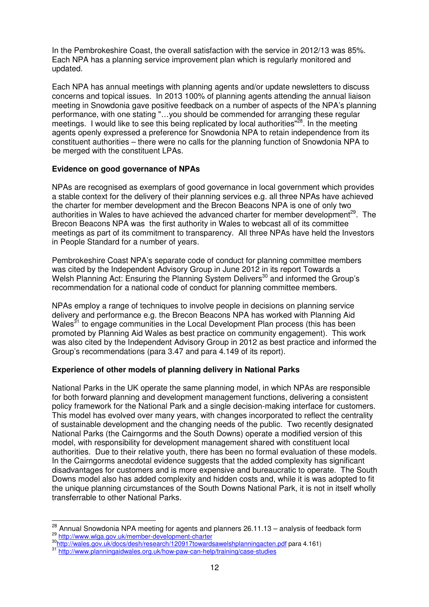In the Pembrokeshire Coast, the overall satisfaction with the service in 2012/13 was 85%. Each NPA has a planning service improvement plan which is regularly monitored and updated.

Each NPA has annual meetings with planning agents and/or update newsletters to discuss concerns and topical issues. In 2013 100% of planning agents attending the annual liaison meeting in Snowdonia gave positive feedback on a number of aspects of the NPA's planning performance, with one stating "…you should be commended for arranging these regular meetings. I would like to see this being replicated by local authorities"<sup>28</sup>. In the meeting agents openly expressed a preference for Snowdonia NPA to retain independence from its constituent authorities – there were no calls for the planning function of Snowdonia NPA to be merged with the constituent LPAs.

## **Evidence on good governance of NPAs**

NPAs are recognised as exemplars of good governance in local government which provides a stable context for the delivery of their planning services e.g. all three NPAs have achieved the charter for member development and the Brecon Beacons NPA is one of only two authorities in Wales to have achieved the advanced charter for member development<sup>29</sup>. The Brecon Beacons NPA was the first authority in Wales to webcast all of its committee meetings as part of its commitment to transparency. All three NPAs have held the Investors in People Standard for a number of years.

Pembrokeshire Coast NPA's separate code of conduct for planning committee members was cited by the Independent Advisory Group in June 2012 in its report Towards a Welsh Planning Act: Ensuring the Planning System Delivers<sup>30</sup> and informed the Group's recommendation for a national code of conduct for planning committee members.

NPAs employ a range of techniques to involve people in decisions on planning service delivery and performance e.g. the Brecon Beacons NPA has worked with Planning Aid Wales<sup>31</sup> to engage communities in the Local Development Plan process (this has been promoted by Planning Aid Wales as best practice on community engagement). This work was also cited by the Independent Advisory Group in 2012 as best practice and informed the Group's recommendations (para 3.47 and para 4.149 of its report).

## **Experience of other models of planning delivery in National Parks**

National Parks in the UK operate the same planning model, in which NPAs are responsible for both forward planning and development management functions, delivering a consistent policy framework for the National Park and a single decision-making interface for customers. This model has evolved over many years, with changes incorporated to reflect the centrality of sustainable development and the changing needs of the public. Two recently designated National Parks (the Cairngorms and the South Downs) operate a modified version of this model, with responsibility for development management shared with constituent local authorities. Due to their relative youth, there has been no formal evaluation of these models. In the Cairngorms anecdotal evidence suggests that the added complexity has significant disadvantages for customers and is more expensive and bureaucratic to operate. The South Downs model also has added complexity and hidden costs and, while it is was adopted to fit the unique planning circumstances of the South Downs National Park, it is not in itself wholly transferrable to other National Parks.

 $\overline{a}$ 

 $28$  Annual Snowdonia NPA meeting for agents and planners 26.11.13 – analysis of feedback form <sup>29</sup> http://www.wlga.gov.uk/member-development-charter

<sup>&</sup>lt;sup>30</sup>http://wales.gov.uk/docs/desh/research/120917towardsawelshplanningacten.pdf para 4.161)

<sup>31</sup> http://www.planningaidwales.org.uk/how-paw-can-help/training/case-studies